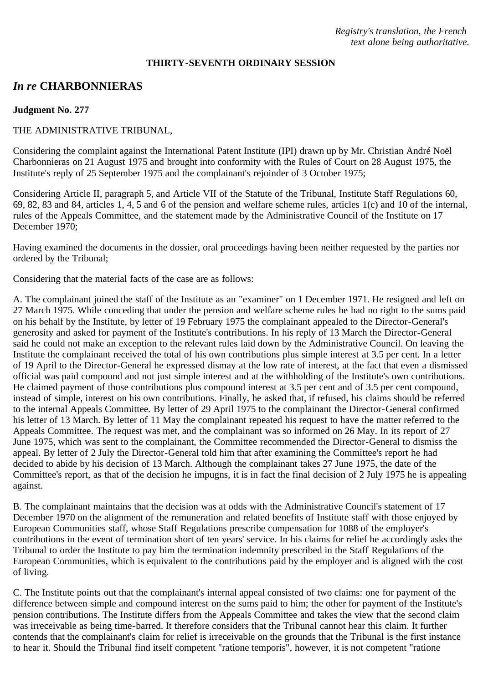### **THIRTY-SEVENTH ORDINARY SESSION**

# *In re* **CHARBONNIERAS**

### **Judgment No. 277**

## THE ADMINISTRATIVE TRIBUNAL,

Considering the complaint against the International Patent Institute (IPI) drawn up by Mr. Christian André Noël Charbonnieras on 21 August 1975 and brought into conformity with the Rules of Court on 28 August 1975, the Institute's reply of 25 September 1975 and the complainant's rejoinder of 3 October 1975;

Considering Article II, paragraph 5, and Article VII of the Statute of the Tribunal, Institute Staff Regulations 60, 69, 82, 83 and 84, articles 1, 4, 5 and 6 of the pension and welfare scheme rules, articles 1(c) and 10 of the internal, rules of the Appeals Committee, and the statement made by the Administrative Council of the Institute on 17 December 1970;

Having examined the documents in the dossier, oral proceedings having been neither requested by the parties nor ordered by the Tribunal;

Considering that the material facts of the case are as follows:

A. The complainant joined the staff of the Institute as an "examiner" on 1 December 1971. He resigned and left on 27 March 1975. While conceding that under the pension and welfare scheme rules he had no right to the sums paid on his behalf by the Institute, by letter of 19 February 1975 the complainant appealed to the Director-General's generosity and asked for payment of the Institute's contributions. In his reply of 13 March the Director-General said he could not make an exception to the relevant rules laid down by the Administrative Council. On leaving the Institute the complainant received the total of his own contributions plus simple interest at 3.5 per cent. In a letter of 19 April to the Director-General he expressed dismay at the low rate of interest, at the fact that even a dismissed official was paid compound and not just simple interest and at the withholding of the Institute's own contributions. He claimed payment of those contributions plus compound interest at 3.5 per cent and of 3.5 per cent compound, instead of simple, interest on his own contributions. Finally, he asked that, if refused, his claims should be referred to the internal Appeals Committee. By letter of 29 April 1975 to the complainant the Director-General confirmed his letter of 13 March. By letter of 11 May the complainant repeated his request to have the matter referred to the Appeals Committee. The request was met, and the complainant was so informed on 26 May. In its report of 27 June 1975, which was sent to the complainant, the Committee recommended the Director-General to dismiss the appeal. By letter of 2 July the Director-General told him that after examining the Committee's report he had decided to abide by his decision of 13 March. Although the complainant takes 27 June 1975, the date of the Committee's report, as that of the decision he impugns, it is in fact the final decision of 2 July 1975 he is appealing against.

B. The complainant maintains that the decision was at odds with the Administrative Council's statement of 17 December 1970 on the alignment of the remuneration and related benefits of Institute staff with those enjoyed by European Communities staff, whose Staff Regulations prescribe compensation for 1088 of the employer's contributions in the event of termination short of ten years' service. In his claims for relief he accordingly asks the Tribunal to order the Institute to pay him the termination indemnity prescribed in the Staff Regulations of the European Communities, which is equivalent to the contributions paid by the employer and is aligned with the cost of living.

C. The Institute points out that the complainant's internal appeal consisted of two claims: one for payment of the difference between simple and compound interest on the sums paid to him; the other for payment of the Institute's pension contributions. The Institute differs from the Appeals Committee and takes the view that the second claim was irreceivable as being time-barred. It therefore considers that the Tribunal cannot hear this claim. It further contends that the complainant's claim for relief is irreceivable on the grounds that the Tribunal is the first instance to hear it. Should the Tribunal find itself competent "ratione temporis", however, it is not competent "ratione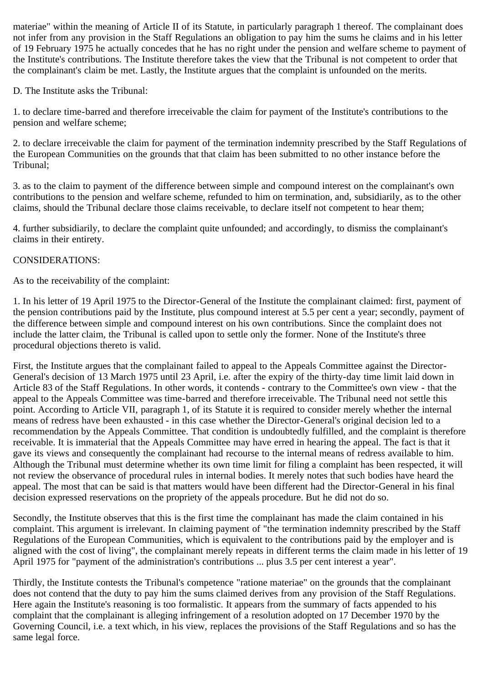materiae" within the meaning of Article II of its Statute, in particularly paragraph 1 thereof. The complainant does not infer from any provision in the Staff Regulations an obligation to pay him the sums he claims and in his letter of 19 February 1975 he actually concedes that he has no right under the pension and welfare scheme to payment of the Institute's contributions. The Institute therefore takes the view that the Tribunal is not competent to order that the complainant's claim be met. Lastly, the Institute argues that the complaint is unfounded on the merits.

D. The Institute asks the Tribunal:

1. to declare time-barred and therefore irreceivable the claim for payment of the Institute's contributions to the pension and welfare scheme;

2. to declare irreceivable the claim for payment of the termination indemnity prescribed by the Staff Regulations of the European Communities on the grounds that that claim has been submitted to no other instance before the Tribunal;

3. as to the claim to payment of the difference between simple and compound interest on the complainant's own contributions to the pension and welfare scheme, refunded to him on termination, and, subsidiarily, as to the other claims, should the Tribunal declare those claims receivable, to declare itself not competent to hear them;

4. further subsidiarily, to declare the complaint quite unfounded; and accordingly, to dismiss the complainant's claims in their entirety.

## CONSIDERATIONS:

As to the receivability of the complaint:

1. In his letter of 19 April 1975 to the Director-General of the Institute the complainant claimed: first, payment of the pension contributions paid by the Institute, plus compound interest at 5.5 per cent a year; secondly, payment of the difference between simple and compound interest on his own contributions. Since the complaint does not include the latter claim, the Tribunal is called upon to settle only the former. None of the Institute's three procedural objections thereto is valid.

First, the Institute argues that the complainant failed to appeal to the Appeals Committee against the Director-General's decision of 13 March 1975 until 23 April, i.e. after the expiry of the thirty-day time limit laid down in Article 83 of the Staff Regulations. In other words, it contends - contrary to the Committee's own view - that the appeal to the Appeals Committee was time-barred and therefore irreceivable. The Tribunal need not settle this point. According to Article VII, paragraph 1, of its Statute it is required to consider merely whether the internal means of redress have been exhausted - in this case whether the Director-General's original decision led to a recommendation by the Appeals Committee. That condition is undoubtedly fulfilled, and the complaint is therefore receivable. It is immaterial that the Appeals Committee may have erred in hearing the appeal. The fact is that it gave its views and consequently the complainant had recourse to the internal means of redress available to him. Although the Tribunal must determine whether its own time limit for filing a complaint has been respected, it will not review the observance of procedural rules in internal bodies. It merely notes that such bodies have heard the appeal. The most that can be said is that matters would have been different had the Director-General in his final decision expressed reservations on the propriety of the appeals procedure. But he did not do so.

Secondly, the Institute observes that this is the first time the complainant has made the claim contained in his complaint. This argument is irrelevant. In claiming payment of "the termination indemnity prescribed by the Staff Regulations of the European Communities, which is equivalent to the contributions paid by the employer and is aligned with the cost of living", the complainant merely repeats in different terms the claim made in his letter of 19 April 1975 for "payment of the administration's contributions ... plus 3.5 per cent interest a year".

Thirdly, the Institute contests the Tribunal's competence "ratione materiae" on the grounds that the complainant does not contend that the duty to pay him the sums claimed derives from any provision of the Staff Regulations. Here again the Institute's reasoning is too formalistic. It appears from the summary of facts appended to his complaint that the complainant is alleging infringement of a resolution adopted on 17 December 1970 by the Governing Council, i.e. a text which, in his view, replaces the provisions of the Staff Regulations and so has the same legal force.